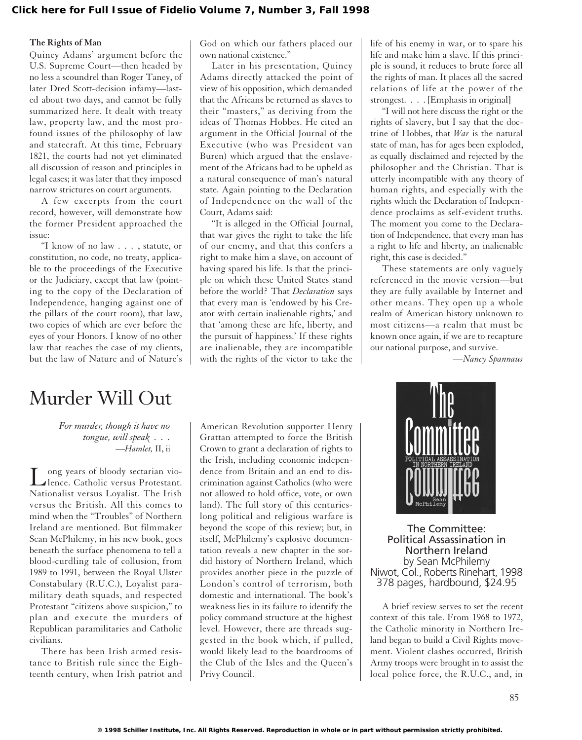#### **The Rights of Man**

Quincy Adams' argument before the U.S. Supreme Court—then headed by no less a scoundrel than Roger Taney, of later Dred Scott-decision infamy—lasted about two days, and cannot be fully summarized here. It dealt with treaty law, property law, and the most profound issues of the philosophy of law and statecraft. At this time, February 1821, the courts had not yet eliminated all discussion of reason and principles in legal cases; it was later that they imposed narrow strictures on court arguments.

A few excerpts from the court record, however, will demonstrate how the former President approached the issue:

"I know of no law . . . , statute, or constitution, no code, no treaty, applicable to the proceedings of the Executive or the Judiciary, except that law (pointing to the copy of the Declaration of Independence, hanging against one of the pillars of the court room), that law, two copies of which are ever before the eyes of your Honors. I know of no other law that reaches the case of my clients, but the law of Nature and of Nature's God on which our fathers placed our own national existence."

Later in his presentation, Quincy Adams directly attacked the point of view of his opposition, which demanded that the Africans be returned as slaves to their "masters," as deriving from the ideas of Thomas Hobbes. He cited an argument in the Official Journal of the Executive (who was President van Buren) which argued that the enslavement of the Africans had to be upheld as a natural consequence of man's natural state. Again pointing to the Declaration of Independence on the wall of the Court, Adams said:

"It is alleged in the Official Journal, that war gives the right to take the life of our enemy, and that this confers a right to make him a slave, on account of having spared his life. Is that the principle on which these United States stand before the world? That *Declaration* says that every man is 'endowed by his Creator with certain inalienable rights,' and that 'among these are life, liberty, and the pursuit of happiness.' If these rights are inalienable, they are incompatible with the rights of the victor to take the life of his enemy in war, or to spare his life and make him a slave. If this principle is sound, it reduces to brute force all the rights of man. It places all the sacred relations of life at the power of the strongest. . . . [Emphasis in original]

"I will not here discuss the right or the rights of slavery, but I say that the doctrine of Hobbes, that *War* is the natural state of man, has for ages been exploded, as equally disclaimed and rejected by the philosopher and the Christian. That is utterly incompatible with any theory of human rights, and especially with the rights which the Declaration of Independence proclaims as self-evident truths. The moment you come to the Declaration of Independence, that every man has a right to life and liberty, an inalienable right, this case is decided."

These statements are only vaguely referenced in the movie version—but they are fully available by Internet and other means. They open up a whole realm of American history unknown to most citizens—a realm that must be known once again, if we are to recapture our national purpose, and survive.

*—Nancy Spannaus*

# Murder Will Out

*For murder, though it have no tongue, will speak . . .* —*Hamlet,* II, ii

Long years of bloody sectarian vio-<br>
lence. Catholic versus Protestant. Nationalist versus Loyalist. The Irish versus the British. All this comes to mind when the "Troubles" of Northern Ireland are mentioned. But filmmaker Sean McPhilemy, in his new book, goes beneath the surface phenomena to tell a blood-curdling tale of collusion, from 1989 to 1991, between the Royal Ulster Constabulary (R.U.C.), Loyalist paramilitary death squads, and respected Protestant "citizens above suspicion," to plan and execute the murders of Republican paramilitaries and Catholic civilians.

There has been Irish armed resistance to British rule since the Eighteenth century, when Irish patriot and

American Revolution supporter Henry Grattan attempted to force the British Crown to grant a declaration of rights to the Irish, including economic independence from Britain and an end to discrimination against Catholics (who were not allowed to hold office, vote, or own land). The full story of this centurieslong political and religious warfare is beyond the scope of this review; but, in itself, McPhilemy's explosive documentation reveals a new chapter in the sordid history of Northern Ireland, which provides another piece in the puzzle of London's control of terrorism, both domestic and international. The book's weakness lies in its failure to identify the policy command structure at the highest level. However, there are threads suggested in the book which, if pulled, would likely lead to the boardrooms of the Club of the Isles and the Queen's Privy Council.



The Committee: Political Assassination in Northern Ireland by Sean McPhilemy Niwot, Col., Roberts Rinehart, 1998 378 pages, hardbound, \$24.95

A brief review serves to set the recent context of this tale. From 1968 to 1972, the Catholic minority in Northern Ireland began to build a Civil Rights movement. Violent clashes occurred, British Army troops were brought in to assist the local police force, the R.U.C., and, in